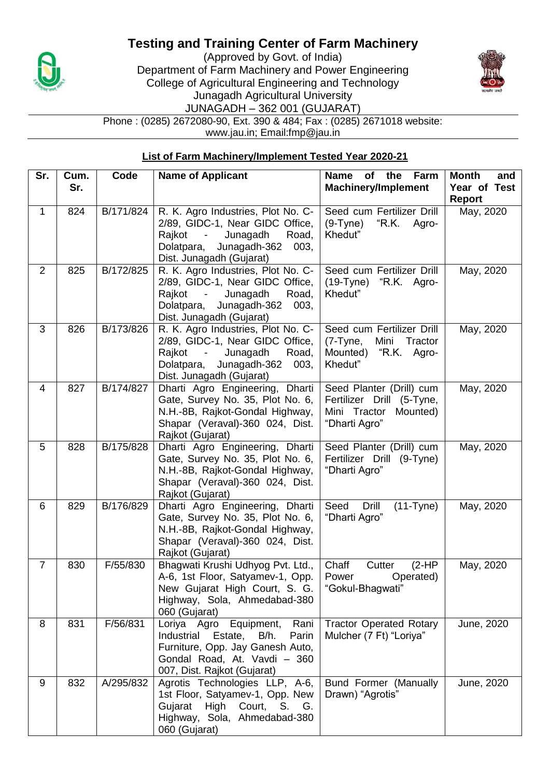## **Testing and Training Center of Farm Machinery**



(Approved by Govt. of India) Department of Farm Machinery and Power Engineering College of Agricultural Engineering and Technology Junagadh Agricultural University JUNAGADH – 362 001 (GUJARAT)



Phone : (0285) 2672080-90, Ext. 390 & 484; Fax : (0285) 2671018 website: www.jau.in; Email:fmp@jau.in

## **List of Farm Machinery/Implement Tested Year 2020-21**

| Sr.                      | Cum. | Code      | <b>Name of Applicant</b>                                                                                                                                                                           | of<br>the<br>Farm<br><b>Name</b>                                                                   | <b>Month</b><br>and           |
|--------------------------|------|-----------|----------------------------------------------------------------------------------------------------------------------------------------------------------------------------------------------------|----------------------------------------------------------------------------------------------------|-------------------------------|
|                          | Sr.  |           |                                                                                                                                                                                                    | <b>Machinery/Implement</b>                                                                         | Year of Test<br><b>Report</b> |
| $\mathbf{1}$             | 824  | B/171/824 | R. K. Agro Industries, Plot No. C-<br>2/89, GIDC-1, Near GIDC Office,<br>Rajkot<br>Junagadh<br>Road,<br>$\sim$ $-$<br>Junagadh-362<br>Dolatpara,<br>003,<br>Dist. Junagadh (Gujarat)               | Seed cum Fertilizer Drill<br>"R.K. Agro-<br>$(9-Tyne)$<br>Khedut"                                  | May, 2020                     |
| $\overline{2}$           | 825  | B/172/825 | R. K. Agro Industries, Plot No. C-<br>2/89, GIDC-1, Near GIDC Office,<br>Rajkot<br>Junagadh<br>Road,<br>$\blacksquare$<br>Dolatpara,<br>Junagadh-362<br>003,<br>Dist. Junagadh (Gujarat)           | Seed cum Fertilizer Drill<br>(19-Tyne)<br>"R.K. Agro-<br>Khedut"                                   | May, 2020                     |
| 3                        | 826  | B/173/826 | R. K. Agro Industries, Plot No. C-<br>2/89, GIDC-1, Near GIDC Office,<br>Rajkot<br>Junagadh<br>Road,<br>$\overline{\phantom{a}}$<br>Dolatpara,<br>Junagadh-362<br>003,<br>Dist. Junagadh (Gujarat) | Seed cum Fertilizer Drill<br>(7-Tyne,<br>Tractor<br>Mini<br>"R.K. Agro-<br>Mounted)<br>Khedut"     | May, 2020                     |
| $\overline{\mathcal{A}}$ | 827  | B/174/827 | Dharti Agro Engineering, Dharti<br>Gate, Survey No. 35, Plot No. 6,<br>N.H.-8B, Rajkot-Gondal Highway,<br>Shapar (Veraval)-360 024, Dist.<br>Rajkot (Gujarat)                                      | Seed Planter (Drill) cum<br>Fertilizer Drill (5-Tyne,<br>Mini Tractor<br>Mounted)<br>"Dharti Agro" | May, 2020                     |
| 5                        | 828  | B/175/828 | Dharti Agro Engineering, Dharti<br>Gate, Survey No. 35, Plot No. 6,<br>N.H.-8B, Rajkot-Gondal Highway,<br>Shapar (Veraval)-360 024, Dist.<br>Rajkot (Gujarat)                                      | Seed Planter (Drill) cum<br>Fertilizer Drill (9-Tyne)<br>"Dharti Agro"                             | May, 2020                     |
| 6                        | 829  | B/176/829 | Dharti Agro Engineering, Dharti<br>Gate, Survey No. 35, Plot No. 6,<br>N.H.-8B, Rajkot-Gondal Highway,<br>Shapar (Veraval)-360 024, Dist.<br>Rajkot (Gujarat)                                      | Seed<br>Drill<br>$(11-Tyne)$<br>"Dharti Agro"                                                      | May, 2020                     |
| $\overline{7}$           | 830  | F/55/830  | Bhagwati Krushi Udhyog Pvt. Ltd.,<br>A-6, 1st Floor, Satyamev-1, Opp.<br>New Gujarat High Court, S. G.<br>Highway, Sola, Ahmedabad-380<br>060 (Gujarat)                                            | Chaff<br>$(2-HP)$<br>Cutter<br>Power<br>Operated)<br>"Gokul-Bhagwati"                              | May, 2020                     |
| 8                        | 831  | F/56/831  | Equipment,<br>Rani<br>Loriya Agro<br>Industrial Estate, B/h.<br>Parin<br>Furniture, Opp. Jay Ganesh Auto,<br>Gondal Road, At. Vavdi - 360<br>007, Dist. Rajkot (Gujarat)                           | <b>Tractor Operated Rotary</b><br>Mulcher (7 Ft) "Loriya"                                          | June, 2020                    |
| 9                        | 832  | A/295/832 | Agrotis Technologies LLP, A-6,<br>1st Floor, Satyamev-1, Opp. New<br>Gujarat<br>High Court, S.<br>G.<br>Highway, Sola, Ahmedabad-380<br>060 (Gujarat)                                              | Bund Former (Manually<br>Drawn) "Agrotis"                                                          | June, 2020                    |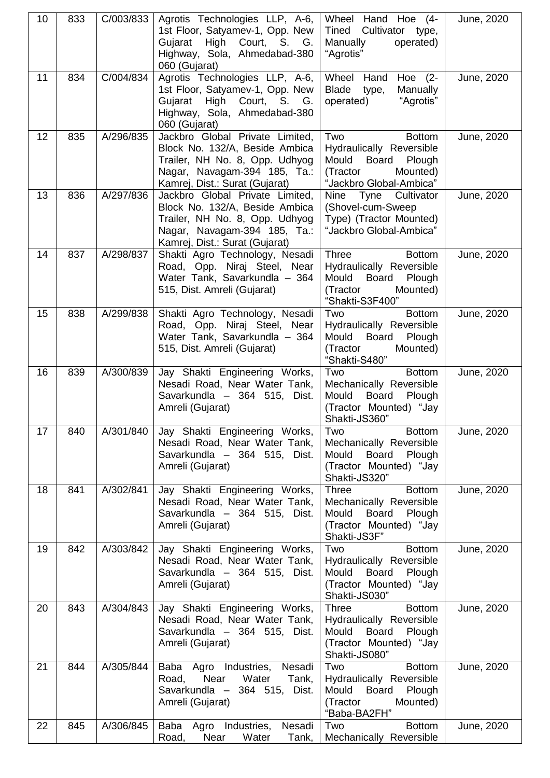| 10 | 833 | C/003/833 | Agrotis Technologies LLP, A-6,<br>1st Floor, Satyamev-1, Opp. New<br>Gujarat<br>High Court, S. G.<br>Highway, Sola, Ahmedabad-380<br>060 (Gujarat)                    | Wheel Hand Hoe (4-<br>Cultivator type,<br>Tined<br>Manually<br>operated)<br>"Agrotis"                                            | June, 2020 |
|----|-----|-----------|-----------------------------------------------------------------------------------------------------------------------------------------------------------------------|----------------------------------------------------------------------------------------------------------------------------------|------------|
| 11 | 834 | C/004/834 | Agrotis Technologies LLP, A-6,<br>1st Floor, Satyamev-1, Opp. New<br>Gujarat High Court, S. G.<br>Highway, Sola, Ahmedabad-380<br>060 (Gujarat)                       | Wheel Hand Hoe (2-<br>Manually<br>Blade<br>type,<br>"Agrotis"<br>operated)                                                       | June, 2020 |
| 12 | 835 | A/296/835 | Jackbro Global Private Limited,<br>Block No. 132/A, Beside Ambica<br>Trailer, NH No. 8, Opp. Udhyog<br>Nagar, Navagam-394 185, Ta.:<br>Kamrej, Dist.: Surat (Gujarat) | Two<br><b>Bottom</b><br>Hydraulically Reversible<br>Mould<br>Board<br>Plough<br>Mounted)<br>(Tractor<br>"Jackbro Global-Ambica"  | June, 2020 |
| 13 | 836 | A/297/836 | Jackbro Global Private Limited,<br>Block No. 132/A, Beside Ambica<br>Trailer, NH No. 8, Opp. Udhyog<br>Nagar, Navagam-394 185, Ta.:<br>Kamrej, Dist.: Surat (Gujarat) | Nine Tyne Cultivator<br>(Shovel-cum-Sweep)<br>Type) (Tractor Mounted)<br>"Jackbro Global-Ambica"                                 | June, 2020 |
| 14 | 837 | A/298/837 | Shakti Agro Technology, Nesadi<br>Road, Opp. Niraj Steel, Near<br>Water Tank, Savarkundla - 364<br>515, Dist. Amreli (Gujarat)                                        | <b>Three</b><br><b>Bottom</b><br>Hydraulically Reversible<br>Mould<br>Board<br>Plough<br>(Tractor<br>Mounted)<br>"Shakti-S3F400" | June, 2020 |
| 15 | 838 | A/299/838 | Shakti Agro Technology, Nesadi<br>Road, Opp. Niraj Steel, Near<br>Water Tank, Savarkundla - 364<br>515, Dist. Amreli (Gujarat)                                        | Two<br><b>Bottom</b><br>Hydraulically Reversible<br>Mould<br>Board<br>Plough<br>(Tractor<br>Mounted)<br>"Shakti-S480"            | June, 2020 |
| 16 | 839 | A/300/839 | Jay Shakti Engineering Works,<br>Nesadi Road, Near Water Tank,<br>Savarkundla - 364 515, Dist.<br>Amreli (Gujarat)                                                    | Two<br><b>Bottom</b><br>Mechanically Reversible<br>Mould<br>Board<br>Plough<br>(Tractor Mounted) "Jay<br>Shakti-JS360"           | June, 2020 |
| 17 | 840 | A/301/840 | Jay Shakti Engineering Works,<br>Nesadi Road, Near Water Tank,<br>Savarkundla - 364 515, Dist.<br>Amreli (Gujarat)                                                    | Two<br><b>Bottom</b><br>Mechanically Reversible<br><b>Board</b><br>Plough<br>Mould<br>(Tractor Mounted) "Jay<br>Shakti-JS320"    | June, 2020 |
| 18 | 841 | A/302/841 | Jay Shakti Engineering Works,<br>Nesadi Road, Near Water Tank,<br>Savarkundla - 364 515, Dist.<br>Amreli (Gujarat)                                                    | <b>Bottom</b><br><b>Three</b><br>Mechanically Reversible<br>Board<br>Mould<br>Plough<br>(Tractor Mounted) "Jay<br>Shakti-JS3F"   | June, 2020 |
| 19 | 842 | A/303/842 | Jay Shakti Engineering Works,<br>Nesadi Road, Near Water Tank,<br>Savarkundla - 364 515, Dist.<br>Amreli (Gujarat)                                                    | Two<br><b>Bottom</b><br>Hydraulically Reversible<br>Board<br>Mould<br>Plough<br>(Tractor Mounted) "Jay<br>Shakti-JS030"          | June, 2020 |
| 20 | 843 | A/304/843 | Jay Shakti Engineering Works,<br>Nesadi Road, Near Water Tank,<br>Savarkundla - 364 515, Dist.<br>Amreli (Gujarat)                                                    | <b>Three</b><br><b>Bottom</b><br>Hydraulically Reversible<br>Mould<br>Board<br>Plough<br>(Tractor Mounted) "Jay<br>Shakti-JS080" | June, 2020 |
| 21 | 844 | A/305/844 | Baba Agro Industries,<br>Nesadi<br>Near<br>Water<br>Tank,<br>Road,<br>Savarkundla - 364 515, Dist.<br>Amreli (Gujarat)                                                | <b>Bottom</b><br>Two<br>Hydraulically Reversible<br>Board<br>Mould<br>Plough<br>(Tractor<br>Mounted)<br>"Baba-BA2FH"             | June, 2020 |
| 22 | 845 | A/306/845 | Baba Agro Industries,<br>Nesadi<br>Water<br>Road,<br>Near<br>Tank,                                                                                                    | <b>Bottom</b><br>Two<br>Mechanically Reversible                                                                                  | June, 2020 |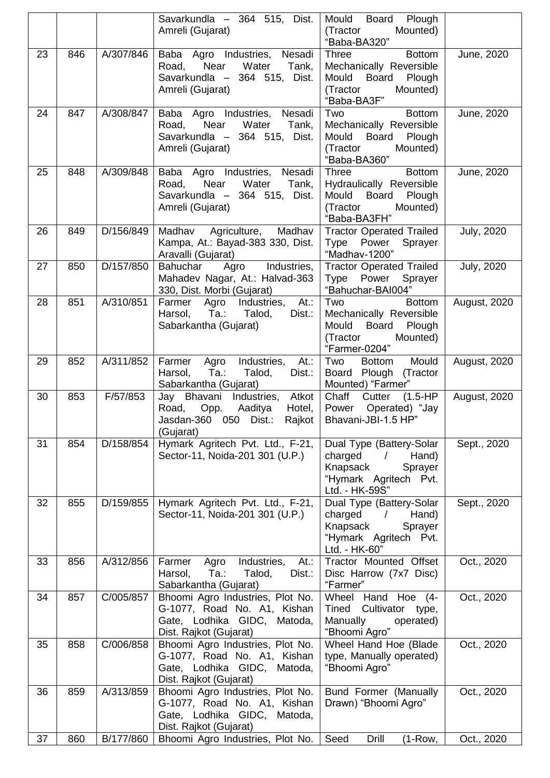|    |     |           | Savarkundla - 364 515, Dist.<br>Amreli (Gujarat)                                                                            | Mould<br>Board<br>Plough<br>(Tractor<br>Mounted)<br>"Baba-BA320"                                                            |                     |
|----|-----|-----------|-----------------------------------------------------------------------------------------------------------------------------|-----------------------------------------------------------------------------------------------------------------------------|---------------------|
| 23 | 846 | A/307/846 | Baba Agro Industries, Nesadi<br>Near<br>Water<br>Road,<br>Tank,<br>Savarkundla - 364 515, Dist.<br>Amreli (Gujarat)         | <b>Three</b><br><b>Bottom</b><br>Mechanically Reversible<br>Mould<br>Board<br>Plough<br>(Tractor<br>Mounted)<br>"Baba-BA3F" | June, 2020          |
| 24 | 847 | A/308/847 | Baba Agro Industries, Nesadi<br>Water<br>Near<br>Tank,<br>Road,<br>Savarkundla - 364 515, Dist.<br>Amreli (Gujarat)         | Two<br><b>Bottom</b><br>Mechanically Reversible<br>Mould<br>Board<br>Plough<br>(Tractor<br>Mounted)<br>"Baba-BA360"         | June, 2020          |
| 25 | 848 | A/309/848 | Baba Agro Industries, Nesadi<br>Near<br>Water<br>Road,<br>Tank,<br>Savarkundla - 364 515,<br>Dist.<br>Amreli (Gujarat)      | <b>Bottom</b><br>Three<br>Hydraulically Reversible<br>Mould Board Plough<br>(Tractor<br>Mounted)<br>"Baba-BA3FH"            | June, 2020          |
| 26 | 849 | D/156/849 | Madhav Agriculture,<br>Madhav<br>Kampa, At.: Bayad-383 330, Dist.<br>Aravalli (Gujarat)                                     | <b>Tractor Operated Trailed</b><br>Type Power Sprayer<br>"Madhav-1200"                                                      | <b>July, 2020</b>   |
| 27 | 850 | D/157/850 | Bahuchar<br>Agro<br>Industries,<br>Mahadev Nagar, At.: Halvad-363<br>330, Dist. Morbi (Gujarat)                             | <b>Tractor Operated Trailed</b><br>Type Power Sprayer<br>"Bahuchar-BAI004"                                                  | <b>July, 2020</b>   |
| 28 | 851 | A/310/851 | At.<br>Farmer Agro Industries,<br>$Ta$ :<br>Talod,<br>Dist.:<br>Harsol,<br>Sabarkantha (Gujarat)                            | Two<br><b>Bottom</b><br>Mechanically Reversible<br>Mould<br><b>Board</b><br>Plough<br>(Tractor<br>Mounted)<br>"Farmer-0204" | <b>August, 2020</b> |
| 29 | 852 | A/311/852 | Industries,<br>At.:<br>Farmer<br>Agro<br>Ta.:<br>Harsol,<br>Talod,<br>Dist.:<br>Sabarkantha (Gujarat)                       | Two<br>Mould<br><b>Bottom</b><br>Board Plough (Tractor<br>Mounted) "Farmer"                                                 | <b>August, 2020</b> |
| 30 | 853 | F/57/853  | Jay Bhavani Industries, Atkot<br>Opp.<br>Aaditya<br>Road,<br>Hotel,<br>Jasdan-360 050 Dist.:<br>Rajkot<br>(Gujarat)         | Chaff<br>(1.5-HP<br>Cutter<br>Operated) "Jay<br>Power<br>Bhavani-JBI-1.5 HP"                                                | <b>August, 2020</b> |
| 31 | 854 | D/158/854 | Hymark Agritech Pvt. Ltd., F-21,<br>Sector-11, Noida-201 301 (U.P.)                                                         | Dual Type (Battery-Solar<br>charged<br>Hand)<br>$\prime$<br>Knapsack<br>Sprayer<br>"Hymark Agritech Pvt.<br>Ltd. - HK-59S"  | Sept., 2020         |
| 32 | 855 | D/159/855 | Hymark Agritech Pvt. Ltd., F-21,<br>Sector-11, Noida-201 301 (U.P.)                                                         | Dual Type (Battery-Solar<br>charged<br>Hand)<br>$\prime$<br>Knapsack<br>Sprayer<br>"Hymark Agritech Pvt.<br>Ltd. - HK-60"   | Sept., 2020         |
| 33 | 856 | A/312/856 | Industries,<br>At.:<br>Farmer<br>Agro<br>Ta.:<br>Talod,<br>Dist.:<br>Harsol,<br>Sabarkantha (Gujarat)                       | Tractor Mounted Offset<br>Disc Harrow (7x7 Disc)<br>"Farmer"                                                                | Oct., 2020          |
| 34 | 857 | C/005/857 | Bhoomi Agro Industries, Plot No.<br>G-1077, Road No. A1, Kishan<br>Gate, Lodhika GIDC,<br>Matoda,<br>Dist. Rajkot (Gujarat) | Wheel Hand Hoe (4-<br><b>Tined</b><br>Cultivator<br>type,<br>Manually<br>operated)<br>"Bhoomi Agro"                         | Oct., 2020          |
| 35 | 858 | C/006/858 | Bhoomi Agro Industries, Plot No.<br>G-1077, Road No. A1, Kishan<br>Gate, Lodhika GIDC,<br>Matoda,<br>Dist. Rajkot (Gujarat) | Wheel Hand Hoe (Blade<br>type, Manually operated)<br>"Bhoomi Agro"                                                          | Oct., 2020          |
| 36 | 859 | A/313/859 | Bhoomi Agro Industries, Plot No.<br>G-1077, Road No. A1, Kishan<br>Gate, Lodhika GIDC,<br>Matoda,<br>Dist. Rajkot (Gujarat) | Bund Former (Manually<br>Drawn) "Bhoomi Agro"                                                                               | Oct., 2020          |
| 37 | 860 | B/177/860 | Bhoomi Agro Industries, Plot No.                                                                                            | Seed<br>Drill<br>$(1-Row,$                                                                                                  | Oct., 2020          |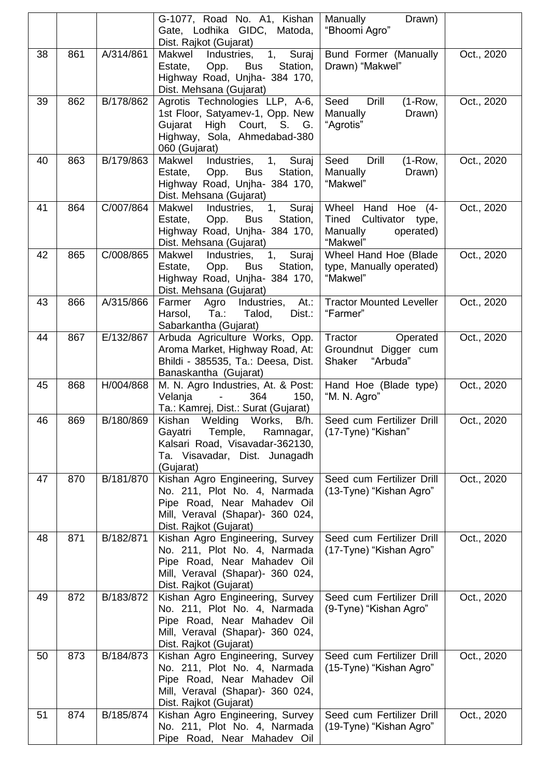|    |     |           | G-1077, Road No. A1, Kishan<br>Gate, Lodhika GIDC, Matoda,<br>Dist. Rajkot (Gujarat)                                                                         | Manually<br>Drawn)<br>"Bhoomi Agro"                                                  |            |
|----|-----|-----------|--------------------------------------------------------------------------------------------------------------------------------------------------------------|--------------------------------------------------------------------------------------|------------|
| 38 | 861 | A/314/861 | Makwel<br>Industries,<br>$\mathbf{1},$<br>Suraj<br>Opp.<br>Station,<br>Estate,<br><b>Bus</b><br>Highway Road, Unjha- 384 170,<br>Dist. Mehsana (Gujarat)     | Bund Former (Manually<br>Drawn) "Makwel"                                             | Oct., 2020 |
| 39 | 862 | B/178/862 | Agrotis Technologies LLP, A-6,<br>1st Floor, Satyamev-1, Opp. New<br>Gujarat<br>High Court, S. G.<br>Highway, Sola, Ahmedabad-380<br>060 (Gujarat)           | Drill<br>Seed<br>$(1-Row,$<br>Manually<br>Drawn)<br>"Agrotis"                        | Oct., 2020 |
| 40 | 863 | B/179/863 | Suraj<br>Industries,<br>1,<br>Makwel<br>Estate,<br>Opp.<br>Station,<br><b>Bus</b><br>Highway Road, Unjha- 384 170,<br>Dist. Mehsana (Gujarat)                | Seed<br><b>Drill</b><br>$(1-Row,$<br>Manually<br>Drawn)<br>"Makwel"                  | Oct., 2020 |
| 41 | 864 | C/007/864 | Suraj<br>Makwel<br>Industries,<br>1,<br>Estate,<br>Opp.<br>Station,<br><b>Bus</b><br>Highway Road, Unjha- 384 170,<br>Dist. Mehsana (Gujarat)                | Wheel Hand Hoe (4-<br>Tined<br>Cultivator type,<br>Manually<br>operated)<br>"Makwel" | Oct., 2020 |
| 42 | 865 | C/008/865 | Suraj<br>Makwel<br>1,<br>Industries,<br>Estate,<br>Opp.<br>Station,<br><b>Bus</b><br>Highway Road, Unjha- 384 170,<br>Dist. Mehsana (Gujarat)                | Wheel Hand Hoe (Blade<br>type, Manually operated)<br>"Makwel"                        | Oct., 2020 |
| 43 | 866 | A/315/866 | $\overline{At}$ :<br>Industries,<br>Farmer<br>Agro<br>Harsol,<br>$Ta$ .:<br>Talod,<br>Dist.:<br>Sabarkantha (Gujarat)                                        | <b>Tractor Mounted Leveller</b><br>"Farmer"                                          | Oct., 2020 |
| 44 | 867 | E/132/867 | Arbuda Agriculture Works, Opp.<br>Aroma Market, Highway Road, At:<br>Bhildi - 385535, Ta.: Deesa, Dist.<br>Banaskantha (Gujarat)                             | Tractor<br>Operated<br>Groundnut Digger cum<br>"Arbuda"<br>Shaker                    | Oct., 2020 |
| 45 | 868 | H/004/868 | M. N. Agro Industries, At. & Post:<br>Velanja<br>364<br>150,<br>Ta.: Kamrej, Dist.: Surat (Gujarat)                                                          | Hand Hoe (Blade type)<br>"M. N. Agro"                                                | Oct., 2020 |
| 46 | 869 | B/180/869 | Kishan<br>Welding Works,<br>B/h.<br>Gayatri Temple,<br>Ramnagar,<br>Kalsari Road, Visavadar-362130,<br>Ta. Visavadar, Dist. Junagadh<br>(Gujarat)            | Seed cum Fertilizer Drill<br>(17-Tyne) "Kishan"                                      | Oct., 2020 |
| 47 | 870 | B/181/870 | Kishan Agro Engineering, Survey<br>No. 211, Plot No. 4, Narmada<br>Pipe Road, Near Mahadev Oil<br>Mill, Veraval (Shapar)- 360 024,<br>Dist. Rajkot (Gujarat) | Seed cum Fertilizer Drill<br>(13-Tyne) "Kishan Agro"                                 | Oct., 2020 |
| 48 | 871 | B/182/871 | Kishan Agro Engineering, Survey<br>No. 211, Plot No. 4, Narmada<br>Pipe Road, Near Mahadev Oil<br>Mill, Veraval (Shapar)- 360 024,<br>Dist. Rajkot (Gujarat) | Seed cum Fertilizer Drill<br>(17-Tyne) "Kishan Agro"                                 | Oct., 2020 |
| 49 | 872 | B/183/872 | Kishan Agro Engineering, Survey<br>No. 211, Plot No. 4, Narmada<br>Pipe Road, Near Mahadev Oil<br>Mill, Veraval (Shapar)- 360 024,<br>Dist. Rajkot (Gujarat) | Seed cum Fertilizer Drill<br>(9-Tyne) "Kishan Agro"                                  | Oct., 2020 |
| 50 | 873 | B/184/873 | Kishan Agro Engineering, Survey<br>No. 211, Plot No. 4, Narmada<br>Pipe Road, Near Mahadev Oil<br>Mill, Veraval (Shapar)- 360 024,<br>Dist. Rajkot (Gujarat) | Seed cum Fertilizer Drill<br>(15-Tyne) "Kishan Agro"                                 | Oct., 2020 |
| 51 | 874 | B/185/874 | Kishan Agro Engineering, Survey<br>No. 211, Plot No. 4, Narmada<br>Pipe Road, Near Mahadev Oil                                                               | Seed cum Fertilizer Drill<br>(19-Tyne) "Kishan Agro"                                 | Oct., 2020 |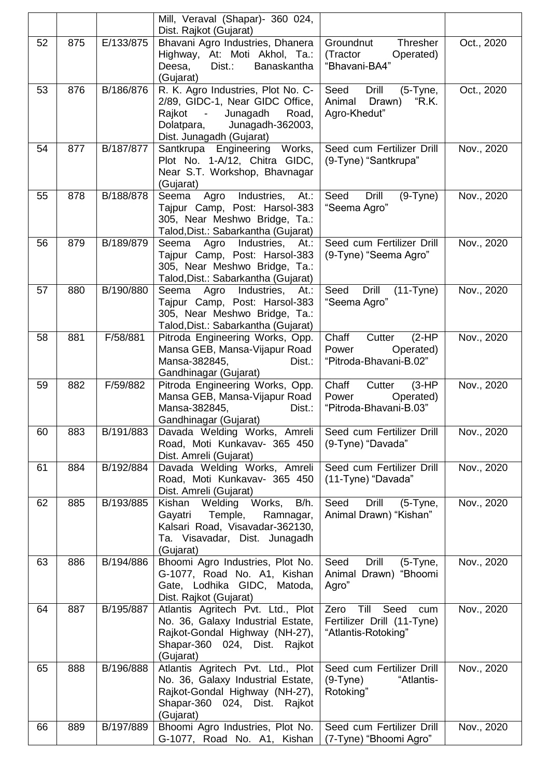|    |     |           | Mill, Veraval (Shapar)- 360 024,<br>Dist. Rajkot (Gujarat)           |                                                     |            |
|----|-----|-----------|----------------------------------------------------------------------|-----------------------------------------------------|------------|
| 52 | 875 | E/133/875 | Bhavani Agro Industries, Dhanera                                     | Groundnut<br>Thresher                               | Oct., 2020 |
|    |     |           | Highway, At: Moti Akhol, Ta.:                                        | (Tractor<br>Operated)                               |            |
|    |     |           | Dist.:<br>Deesa,<br>Banaskantha                                      | "Bhavani-BA4"                                       |            |
|    |     |           | (Gujarat)                                                            |                                                     |            |
| 53 | 876 | B/186/876 | R. K. Agro Industries, Plot No. C-                                   | Seed<br>Drill<br>$(5-Tyne,$                         | Oct., 2020 |
|    |     |           | 2/89, GIDC-1, Near GIDC Office,                                      | Animal<br>K.K.<br>Drawn)                            |            |
|    |     |           | Junagadh<br>Rajkot<br>Road,<br>$\sim$ $-$                            | Agro-Khedut"                                        |            |
|    |     |           | Dolatpara,<br>Junagadh-362003,                                       |                                                     |            |
|    |     |           | Dist. Junagadh (Gujarat)                                             |                                                     |            |
| 54 | 877 | B/187/877 | Santkrupa Engineering Works,                                         | Seed cum Fertilizer Drill                           | Nov., 2020 |
|    |     |           | Plot No. 1-A/12, Chitra GIDC,                                        | (9-Tyne) "Santkrupa"                                |            |
|    |     |           | Near S.T. Workshop, Bhavnagar                                        |                                                     |            |
|    |     |           | (Gujarat)                                                            |                                                     |            |
| 55 | 878 | B/188/878 | Agro<br>Industries,<br>At.<br>Seema                                  | Seed<br>Drill<br>$(9-Tyne)$                         | Nov., 2020 |
|    |     |           | Tajpur Camp, Post: Harsol-383                                        | "Seema Agro"                                        |            |
|    |     |           | 305, Near Meshwo Bridge, Ta.:                                        |                                                     |            |
|    |     |           | Talod, Dist.: Sabarkantha (Gujarat)                                  |                                                     |            |
| 56 | 879 | B/189/879 | Industries,<br>Agro<br>Seema<br>At.:                                 | Seed cum Fertilizer Drill                           | Nov., 2020 |
|    |     |           | Tajpur Camp, Post: Harsol-383                                        | (9-Tyne) "Seema Agro"                               |            |
|    |     |           | 305, Near Meshwo Bridge, Ta.:                                        |                                                     |            |
| 57 | 880 | B/190/880 | Talod, Dist.: Sabarkantha (Gujarat)                                  | <b>Drill</b><br>$(11-Tyne)$<br>Seed                 | Nov., 2020 |
|    |     |           | Agro<br>Industries,<br>Seema<br>At:<br>Tajpur Camp, Post: Harsol-383 | "Seema Agro"                                        |            |
|    |     |           | 305, Near Meshwo Bridge, Ta.:                                        |                                                     |            |
|    |     |           | Talod, Dist.: Sabarkantha (Gujarat)                                  |                                                     |            |
| 58 | 881 | F/58/881  | Pitroda Engineering Works, Opp.                                      | Chaff<br>Cutter<br>$(2-HP)$                         | Nov., 2020 |
|    |     |           | Mansa GEB, Mansa-Vijapur Road                                        | Power<br>Operated)                                  |            |
|    |     |           | Mansa-382845,<br>Dist.:                                              | "Pitroda-Bhavani-B.02"                              |            |
|    |     |           | Gandhinagar (Gujarat)                                                |                                                     |            |
| 59 | 882 | F/59/882  | Pitroda Engineering Works, Opp.                                      | Chaff<br>Cutter<br>$(3-HP)$                         | Nov., 2020 |
|    |     |           | Mansa GEB, Mansa-Vijapur Road                                        | Power<br>Operated)                                  |            |
|    |     |           | Mansa-382845,<br>Dist.:                                              | "Pitroda-Bhavani-B.03"                              |            |
|    |     |           | Gandhinagar (Gujarat)                                                |                                                     |            |
| 60 | 883 | B/191/883 | Davada Welding Works, Amreli                                         | Seed cum Fertilizer Drill                           | Nov., 2020 |
|    |     |           | Road, Moti Kunkavav- 365 450                                         | (9-Tyne) "Davada"                                   |            |
|    |     |           |                                                                      |                                                     |            |
| 61 |     |           | Dist. Amreli (Gujarat)                                               |                                                     |            |
|    | 884 | B/192/884 | Davada Welding Works, Amreli                                         | Seed cum Fertilizer Drill                           | Nov., 2020 |
|    |     |           | Road, Moti Kunkavav- 365 450                                         | (11-Tyne) "Davada"                                  |            |
|    |     |           | Dist. Amreli (Gujarat)                                               |                                                     |            |
| 62 | 885 | B/193/885 | Welding<br>Works,<br>Kishan<br>B/h.                                  | Drill<br>Seed<br>$(5-Tyne,$                         | Nov., 2020 |
|    |     |           | Gayatri<br>Temple,<br>Ramnagar,                                      | Animal Drawn) "Kishan"                              |            |
|    |     |           | Kalsari Road, Visavadar-362130,                                      |                                                     |            |
|    |     |           | Ta. Visavadar, Dist. Junagadh                                        |                                                     |            |
|    |     |           | (Gujarat)                                                            |                                                     |            |
| 63 | 886 | B/194/886 | Bhoomi Agro Industries, Plot No.                                     | Drill<br>Seed<br>$(5-Tyne,$                         | Nov., 2020 |
|    |     |           | G-1077, Road No. A1, Kishan                                          | Animal Drawn) "Bhoomi                               |            |
|    |     |           | Gate, Lodhika GIDC, Matoda,                                          | Agro"                                               |            |
|    |     |           | Dist. Rajkot (Gujarat)                                               |                                                     |            |
| 64 | 887 | B/195/887 | Atlantis Agritech Pvt. Ltd., Plot                                    | Seed<br>Till<br>Zero<br>cum                         | Nov., 2020 |
|    |     |           | No. 36, Galaxy Industrial Estate,                                    | Fertilizer Drill (11-Tyne)                          |            |
|    |     |           | Rajkot-Gondal Highway (NH-27),                                       | "Atlantis-Rotoking"                                 |            |
|    |     |           | Shapar-360 024, Dist. Rajkot                                         |                                                     |            |
| 65 | 888 | B/196/888 | (Gujarat)<br>Atlantis Agritech Pvt. Ltd., Plot                       | Seed cum Fertilizer Drill                           | Nov., 2020 |
|    |     |           | No. 36, Galaxy Industrial Estate,                                    | $(9-Tyne)$<br>"Atlantis-                            |            |
|    |     |           | Rajkot-Gondal Highway (NH-27),                                       | Rotoking"                                           |            |
|    |     |           | Shapar-360 024, Dist. Rajkot                                         |                                                     |            |
|    |     |           | (Gujarat)                                                            |                                                     |            |
| 66 | 889 | B/197/889 | Bhoomi Agro Industries, Plot No.<br>G-1077, Road No. A1, Kishan      | Seed cum Fertilizer Drill<br>(7-Tyne) "Bhoomi Agro" | Nov., 2020 |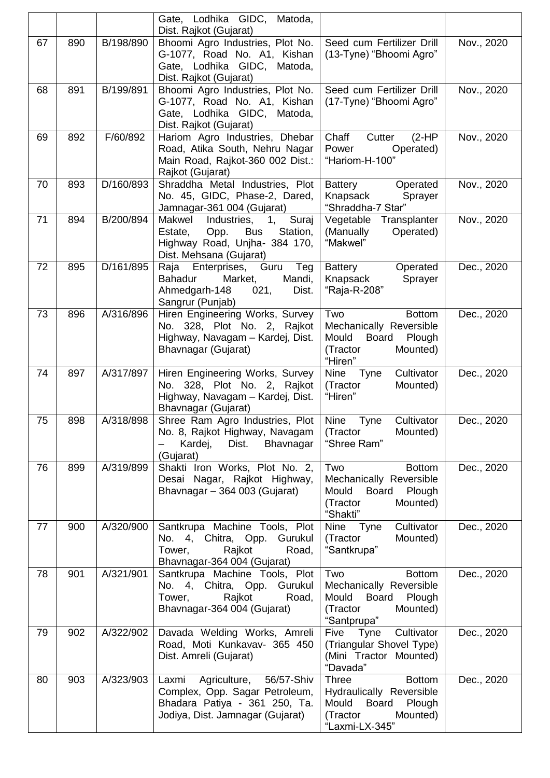|    |     |           | Gate, Lodhika GIDC, Matoda,<br>Dist. Rajkot (Gujarat)                                                                                         |                                                                                                                                 |            |
|----|-----|-----------|-----------------------------------------------------------------------------------------------------------------------------------------------|---------------------------------------------------------------------------------------------------------------------------------|------------|
| 67 | 890 | B/198/890 | Bhoomi Agro Industries, Plot No.<br>G-1077, Road No. A1, Kishan<br>Gate, Lodhika GIDC, Matoda,<br>Dist. Rajkot (Gujarat)                      | Seed cum Fertilizer Drill<br>(13-Tyne) "Bhoomi Agro"                                                                            | Nov., 2020 |
| 68 | 891 | B/199/891 | Bhoomi Agro Industries, Plot No.<br>G-1077, Road No. A1, Kishan<br>Gate, Lodhika GIDC, Matoda,<br>Dist. Rajkot (Gujarat)                      | Seed cum Fertilizer Drill<br>(17-Tyne) "Bhoomi Agro"                                                                            | Nov., 2020 |
| 69 | 892 | F/60/892  | Hariom Agro Industries, Dhebar<br>Road, Atika South, Nehru Nagar<br>Main Road, Rajkot-360 002 Dist.:<br>Rajkot (Gujarat)                      | Chaff<br>$(2-HP)$<br>Cutter<br>Power<br>Operated)<br>"Hariom-H-100"                                                             | Nov., 2020 |
| 70 | 893 | D/160/893 | Shraddha Metal Industries, Plot<br>No. 45, GIDC, Phase-2, Dared,<br>Jamnagar-361 004 (Gujarat)                                                | Battery<br>Operated<br>Knapsack<br>Sprayer<br>"Shraddha-7 Star"                                                                 | Nov., 2020 |
| 71 | 894 | B/200/894 | Makwel<br>Suraj<br>1,<br>Industries,<br>Estate,<br>Opp.<br>Station,<br><b>Bus</b><br>Highway Road, Unjha- 384 170,<br>Dist. Mehsana (Gujarat) | Transplanter<br>Vegetable<br>(Manually<br>Operated)<br>"Makwel"                                                                 | Nov., 2020 |
| 72 | 895 | D/161/895 | Raja Enterprises, Guru<br>Teg<br><b>Bahadur</b><br>Mandi,<br>Market,<br>Ahmedgarh-148<br>021,<br>Dist.<br>Sangrur (Punjab)                    | Battery<br>Operated<br>Knapsack<br>Sprayer<br>"Raja-R-208"                                                                      | Dec., 2020 |
| 73 | 896 | A/316/896 | Hiren Engineering Works, Survey<br>No. 328, Plot No. 2, Rajkot<br>Highway, Navagam - Kardej, Dist.<br>Bhavnagar (Gujarat)                     | Two<br><b>Bottom</b><br>Mechanically Reversible<br>Mould<br><b>Board</b><br>Plough<br>Mounted)<br>(Tractor<br>"Hiren"           | Dec., 2020 |
| 74 | 897 | A/317/897 | Hiren Engineering Works, Survey<br>No. 328, Plot No. 2, Rajkot<br>Highway, Navagam - Kardej, Dist.<br>Bhavnagar (Gujarat)                     | Cultivator<br><b>Nine</b><br>Tyne<br>(Tractor<br>Mounted)<br>"Hiren"                                                            | Dec., 2020 |
| 75 | 898 | A/318/898 | Shree Ram Agro Industries, Plot<br>No. 8, Rajkot Highway, Navagam<br>Kardej,<br>Dist.<br>Bhavnagar<br>(Gujarat)                               | Cultivator<br><b>Nine</b><br>Tyne<br>(Tractor<br>Mounted)<br>"Shree Ram"                                                        | Dec., 2020 |
| 76 | 899 | A/319/899 | Shakti Iron Works, Plot No. 2,<br>Desai Nagar, Rajkot Highway,<br>Bhavnagar - 364 003 (Gujarat)                                               | Two<br><b>Bottom</b><br>Mechanically Reversible<br>Mould<br>Board<br>Plough<br>(Tractor<br>Mounted)<br>"Shakti"                 | Dec., 2020 |
| 77 | 900 | A/320/900 | Santkrupa Machine Tools, Plot<br>No. 4, Chitra, Opp. Gurukul<br>Rajkot<br>Tower,<br>Road,<br>Bhavnagar-364 004 (Gujarat)                      | Cultivator<br>Nine Tyne<br>Mounted)<br>(Tractor<br>"Santkrupa"                                                                  | Dec., 2020 |
| 78 | 901 | A/321/901 | Santkrupa Machine Tools, Plot<br>No. 4, Chitra, Opp. Gurukul<br>Rajkot<br>Tower,<br>Road,<br>Bhavnagar-364 004 (Gujarat)                      | Two<br><b>Bottom</b><br>Mechanically Reversible<br>Mould<br>Board<br>Plough<br>(Tractor<br>Mounted)<br>"Santprupa"              | Dec., 2020 |
| 79 | 902 | A/322/902 | Davada Welding Works, Amreli<br>Road, Moti Kunkavav- 365 450<br>Dist. Amreli (Gujarat)                                                        | Cultivator<br>Five Tyne<br>(Triangular Shovel Type)<br>(Mini Tractor Mounted)<br>"Davada"                                       | Dec., 2020 |
| 80 | 903 | A/323/903 | Agriculture,<br>56/57-Shiv<br>Laxmi<br>Complex, Opp. Sagar Petroleum,<br>Bhadara Patiya - 361 250, Ta.<br>Jodiya, Dist. Jamnagar (Gujarat)    | <b>Three</b><br><b>Bottom</b><br>Hydraulically Reversible<br>Mould<br>Board<br>Plough<br>(Tractor<br>Mounted)<br>"Laxmi-LX-345" | Dec., 2020 |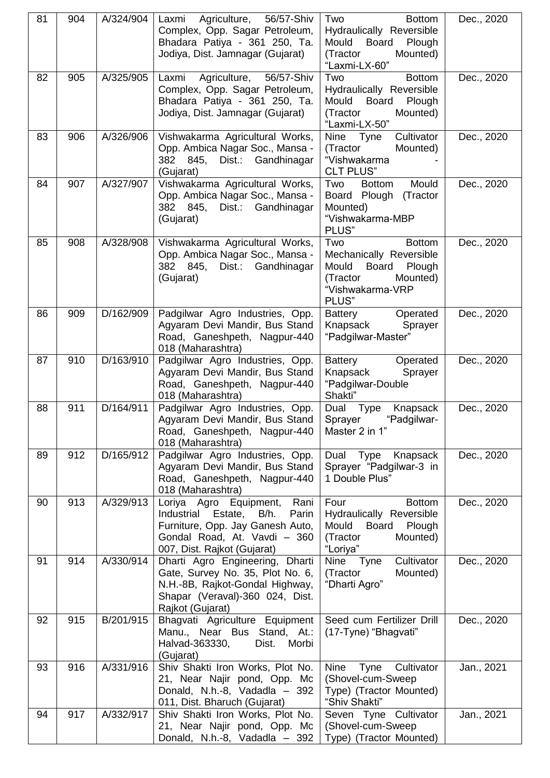| 81 | 904 | A/324/904 | Agriculture,<br>56/57-Shiv<br>Laxmi                                  | Two<br><b>Bottom</b>                                        | Dec., 2020 |
|----|-----|-----------|----------------------------------------------------------------------|-------------------------------------------------------------|------------|
|    |     |           | Complex, Opp. Sagar Petroleum,                                       | Hydraulically Reversible                                    |            |
|    |     |           | Bhadara Patiya - 361 250, Ta.<br>Jodiya, Dist. Jamnagar (Gujarat)    | Mould<br><b>Board</b><br>Plough<br>(Tractor<br>Mounted)     |            |
|    |     |           |                                                                      | "Laxmi-LX-60"                                               |            |
| 82 | 905 | A/325/905 | 56/57-Shiv<br>Laxmi<br>Agriculture,                                  | <b>Bottom</b><br>Two                                        | Dec., 2020 |
|    |     |           | Complex, Opp. Sagar Petroleum,<br>Bhadara Patiya - 361 250, Ta.      | Hydraulically Reversible<br><b>Board</b><br>Mould<br>Plough |            |
|    |     |           | Jodiya, Dist. Jamnagar (Gujarat)                                     | Mounted)<br>(Tractor                                        |            |
|    |     |           |                                                                      | "Laxmi-LX-50"                                               |            |
| 83 | 906 | A/326/906 | Vishwakarma Agricultural Works,                                      | <b>Nine</b><br>Cultivator<br>Tyne                           | Dec., 2020 |
|    |     |           | Opp. Ambica Nagar Soc., Mansa -<br>382<br>845,<br>Dist.: Gandhinagar | (Tractor<br>Mounted)<br>"Vishwakarma                        |            |
|    |     |           | (Gujarat)                                                            | <b>CLT PLUS"</b>                                            |            |
| 84 | 907 | A/327/907 | Vishwakarma Agricultural Works,                                      | Mould<br>Two<br><b>Bottom</b>                               | Dec., 2020 |
|    |     |           | Opp. Ambica Nagar Soc., Mansa -<br>Dist.: Gandhinagar<br>382 845.    | Board Plough (Tractor<br>Mounted)                           |            |
|    |     |           | (Gujarat)                                                            | "Vishwakarma-MBP                                            |            |
|    |     |           |                                                                      | PLUS"                                                       |            |
| 85 | 908 | A/328/908 | Vishwakarma Agricultural Works,                                      | Two<br><b>Bottom</b>                                        | Dec., 2020 |
|    |     |           | Opp. Ambica Nagar Soc., Mansa -<br>382 845,<br>Dist.:<br>Gandhinagar | Mechanically Reversible<br>Mould<br>Board<br>Plough         |            |
|    |     |           | (Gujarat)                                                            | (Tractor<br>Mounted)                                        |            |
|    |     |           |                                                                      | "Vishwakarma-VRP                                            |            |
|    |     |           |                                                                      | PLUS"                                                       |            |
| 86 | 909 | D/162/909 | Padgilwar Agro Industries, Opp.<br>Agyaram Devi Mandir, Bus Stand    | Operated<br><b>Battery</b><br>Knapsack<br>Sprayer           | Dec., 2020 |
|    |     |           | Road, Ganeshpeth, Nagpur-440                                         | "Padgilwar-Master"                                          |            |
|    |     |           | 018 (Maharashtra)                                                    |                                                             |            |
| 87 | 910 | D/163/910 | Padgilwar Agro Industries, Opp.<br>Agyaram Devi Mandir, Bus Stand    | <b>Battery</b><br>Operated<br>Knapsack                      | Dec., 2020 |
|    |     |           | Road, Ganeshpeth, Nagpur-440                                         | Sprayer<br>"Padgilwar-Double                                |            |
|    |     |           | 018 (Maharashtra)                                                    | Shakti"                                                     |            |
| 88 | 911 | D/164/911 | Padgilwar Agro Industries, Opp.                                      | Dual Type<br>Knapsack                                       | Dec., 2020 |
|    |     |           | Agyaram Devi Mandir, Bus Stand<br>Road, Ganeshpeth, Nagpur-440       | "Padgilwar-<br>Sprayer<br>Master 2 in 1"                    |            |
|    |     |           | 018 (Maharashtra)                                                    |                                                             |            |
| 89 | 912 | D/165/912 | Padgilwar Agro Industries, Opp.                                      | Dual Type<br>Knapsack                                       | Dec., 2020 |
|    |     |           | Agyaram Devi Mandir, Bus Stand                                       | Sprayer "Padgilwar-3 in<br>1 Double Plus"                   |            |
|    |     |           | Road, Ganeshpeth, Nagpur-440<br>018 (Maharashtra)                    |                                                             |            |
| 90 | 913 | A/329/913 | Loriya Agro Equipment,<br>Rani                                       | Four<br><b>Bottom</b>                                       | Dec., 2020 |
|    |     |           | Industrial Estate,<br>B/h.<br>Parin                                  | Hydraulically Reversible                                    |            |
|    |     |           | Furniture, Opp. Jay Ganesh Auto,<br>Gondal Road, At. Vavdi - 360     | Mould<br>Board Plough<br>(Tractor<br>Mounted)               |            |
|    |     |           | 007, Dist. Rajkot (Gujarat)                                          | "Loriya"                                                    |            |
| 91 | 914 | A/330/914 | Dharti Agro Engineering, Dharti                                      | Cultivator<br>Nine Tyne                                     | Dec., 2020 |
|    |     |           | Gate, Survey No. 35, Plot No. 6,                                     | (Tractor<br>Mounted)                                        |            |
|    |     |           | N.H.-8B, Rajkot-Gondal Highway,<br>Shapar (Veraval)-360 024, Dist.   | "Dharti Agro"                                               |            |
|    |     |           | Rajkot (Gujarat)                                                     |                                                             |            |
| 92 | 915 | B/201/915 | Bhagvati Agriculture Equipment                                       | Seed cum Fertilizer Drill                                   | Dec., 2020 |
|    |     |           | Manu., Near Bus Stand, At.:<br>Halvad-363330,<br>Morbi<br>Dist.      | (17-Tyne) "Bhagvati"                                        |            |
|    |     |           | (Gujarat)                                                            |                                                             |            |
| 93 | 916 | A/331/916 | Shiv Shakti Iron Works, Plot No.                                     | Tyne<br>Cultivator<br><b>Nine</b>                           | Jan., 2021 |
|    |     |           | 21, Near Najir pond, Opp. Mc                                         | (Shovel-cum-Sweep                                           |            |
|    |     |           | Donald, N.h.-8, Vadadla - 392<br>011, Dist. Bharuch (Gujarat)        | Type) (Tractor Mounted)<br>"Shiv Shakti"                    |            |
| 94 | 917 | A/332/917 | Shiv Shakti Iron Works, Plot No.                                     | Seven Tyne Cultivator                                       | Jan., 2021 |
|    |     |           | 21, Near Najir pond, Opp. Mc                                         | (Shovel-cum-Sweep)                                          |            |
|    |     |           | Donald, N.h.-8, Vadadla - 392                                        | Type) (Tractor Mounted)                                     |            |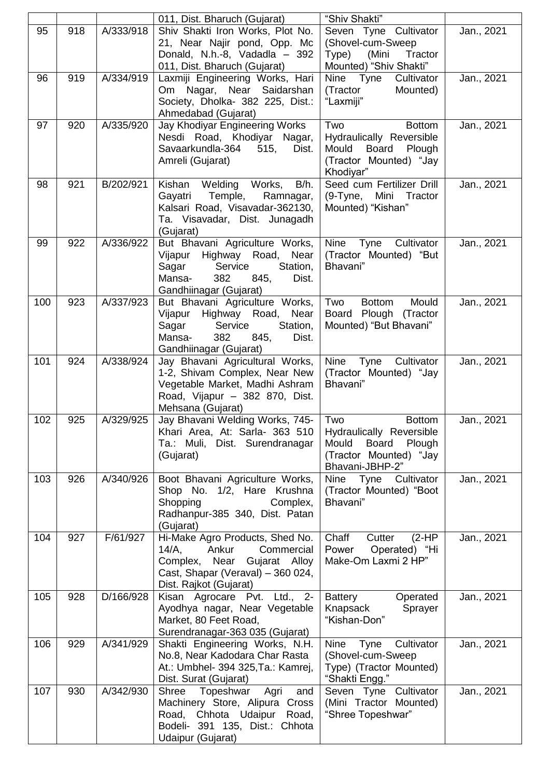|     |     |           | 011, Dist. Bharuch (Gujarat)                                        | "Shiv Shakti"                                             |            |
|-----|-----|-----------|---------------------------------------------------------------------|-----------------------------------------------------------|------------|
| 95  | 918 | A/333/918 | Shiv Shakti Iron Works, Plot No.                                    | Seven Tyne Cultivator                                     | Jan., 2021 |
|     |     |           | 21, Near Najir pond, Opp. Mc                                        | (Shovel-cum-Sweep)<br>Tractor                             |            |
|     |     |           | Donald, N.h.-8, Vadadla - 392<br>011, Dist. Bharuch (Gujarat)       | Type)<br>(Mini<br>Mounted) "Shiv Shakti"                  |            |
| 96  | 919 | A/334/919 | Laxmiji Engineering Works, Hari                                     | Nine Tyne<br>Cultivator                                   | Jan., 2021 |
|     |     |           | Om Nagar, Near Saidarshan                                           | (Tractor<br>Mounted)                                      |            |
|     |     |           | Society, Dholka- 382 225, Dist.:                                    | "Laxmiji"                                                 |            |
| 97  | 920 | A/335/920 | Ahmedabad (Gujarat)<br>Jay Khodiyar Engineering Works               | Two<br><b>Bottom</b>                                      | Jan., 2021 |
|     |     |           | Nesdi Road, Khodiyar Nagar,                                         | Hydraulically Reversible                                  |            |
|     |     |           | Savaarkundla-364<br>515,<br>Dist.                                   | Mould<br>Board<br>Plough                                  |            |
|     |     |           | Amreli (Gujarat)                                                    | (Tractor Mounted) "Jay                                    |            |
|     |     |           |                                                                     | Khodiyar"                                                 |            |
| 98  | 921 | B/202/921 | Kishan Welding<br>Works,<br>B/h.<br>Temple,<br>Ramnagar,<br>Gayatri | Seed cum Fertilizer Drill<br>(9-Tyne, Mini Tractor        | Jan., 2021 |
|     |     |           | Kalsari Road, Visavadar-362130,                                     | Mounted) "Kishan"                                         |            |
|     |     |           | Ta. Visavadar, Dist. Junagadh                                       |                                                           |            |
|     |     |           | (Gujarat)                                                           |                                                           |            |
| 99  | 922 | A/336/922 | But Bhavani Agriculture Works,                                      | Nine<br>Tyne<br>Cultivator                                | Jan., 2021 |
|     |     |           | Highway Road,<br>Near<br>Vijapur<br>Station,<br>Sagar<br>Service    | (Tractor Mounted) "But<br>Bhavani"                        |            |
|     |     |           | 382<br>Mansa-<br>845,<br>Dist.                                      |                                                           |            |
|     |     |           | Gandhiinagar (Gujarat)                                              |                                                           |            |
| 100 | 923 | A/337/923 | But Bhavani Agriculture Works,                                      | <b>Bottom</b><br>Mould<br>Two                             | Jan., 2021 |
|     |     |           | Highway Road, Near<br>Vijapur<br>Sagar<br>Service<br>Station,       | Board Plough (Tractor<br>Mounted) "But Bhavani"           |            |
|     |     |           | Mansa-<br>382<br>845,<br>Dist.                                      |                                                           |            |
|     |     |           | Gandhiinagar (Gujarat)                                              |                                                           |            |
| 101 | 924 | A/338/924 | Jay Bhavani Agricultural Works,                                     | Cultivator<br><b>Nine</b><br>Tyne                         | Jan., 2021 |
|     |     |           | 1-2, Shivam Complex, Near New                                       | (Tractor Mounted) "Jay<br>Bhavani"                        |            |
|     |     |           | Vegetable Market, Madhi Ashram<br>Road, Vijapur - 382 870, Dist.    |                                                           |            |
|     |     |           | Mehsana (Gujarat)                                                   |                                                           |            |
| 102 | 925 | A/329/925 | Jay Bhavani Welding Works, 745-                                     | Two<br><b>Bottom</b>                                      | Jan., 2021 |
|     |     |           | Khari Area, At: Sarla- 363 510                                      | Hydraulically Reversible                                  |            |
|     |     |           | Ta.: Muli, Dist. Surendranagar<br>(Gujarat)                         | <b>Board</b><br>Mould<br>Plough<br>(Tractor Mounted) "Jay |            |
|     |     |           |                                                                     | Bhavani-JBHP-2"                                           |            |
| 103 | 926 | A/340/926 | Boot Bhavani Agriculture Works,                                     | Cultivator<br>Nine Tyne                                   | Jan., 2021 |
|     |     |           | Shop No. 1/2, Hare Krushna                                          | (Tractor Mounted) "Boot                                   |            |
|     |     |           | Shopping<br>Complex,<br>Radhanpur-385 340, Dist. Patan              | Bhavani"                                                  |            |
|     |     |           | (Gujarat)                                                           |                                                           |            |
| 104 | 927 | F/61/927  | Hi-Make Agro Products, Shed No.                                     | Chaff<br>Cutter<br>$(2-HP)$                               | Jan., 2021 |
|     |     |           | $14/A$ ,<br>Ankur<br>Commercial                                     | Operated) "Hi<br>Power                                    |            |
|     |     |           | Complex, Near Gujarat Alloy<br>Cast, Shapar (Veraval) - 360 024,    | Make-Om Laxmi 2 HP"                                       |            |
|     |     |           | Dist. Rajkot (Gujarat)                                              |                                                           |            |
| 105 | 928 | D/166/928 | Kisan Agrocare Pvt. Ltd., 2-                                        | <b>Battery</b><br>Operated                                | Jan., 2021 |
|     |     |           | Ayodhya nagar, Near Vegetable                                       | Knapsack<br>Sprayer                                       |            |
|     |     |           | Market, 80 Feet Road,<br>Surendranagar-363 035 (Gujarat)            | "Kishan-Don"                                              |            |
| 106 | 929 | A/341/929 | Shakti Engineering Works, N.H.                                      | Nine<br>Cultivator<br>Tyne                                | Jan., 2021 |
|     |     |           | No.8, Near Kadodara Char Rasta                                      | (Shovel-cum-Sweep                                         |            |
|     |     |           | At.: Umbhel- 394 325, Ta.: Kamrej,                                  | Type) (Tractor Mounted)                                   |            |
|     |     |           | Dist. Surat (Gujarat)                                               | "Shakti Engg."                                            |            |
| 107 | 930 | A/342/930 | Shree<br>Topeshwar<br>Agri<br>and<br>Machinery Store, Alipura Cross | Seven Tyne Cultivator<br>(Mini Tractor Mounted)           | Jan., 2021 |
|     |     |           | Road, Chhota Udaipur Road,                                          | "Shree Topeshwar"                                         |            |
|     |     |           | Bodeli- 391 135, Dist.: Chhota                                      |                                                           |            |
|     |     |           | Udaipur (Gujarat)                                                   |                                                           |            |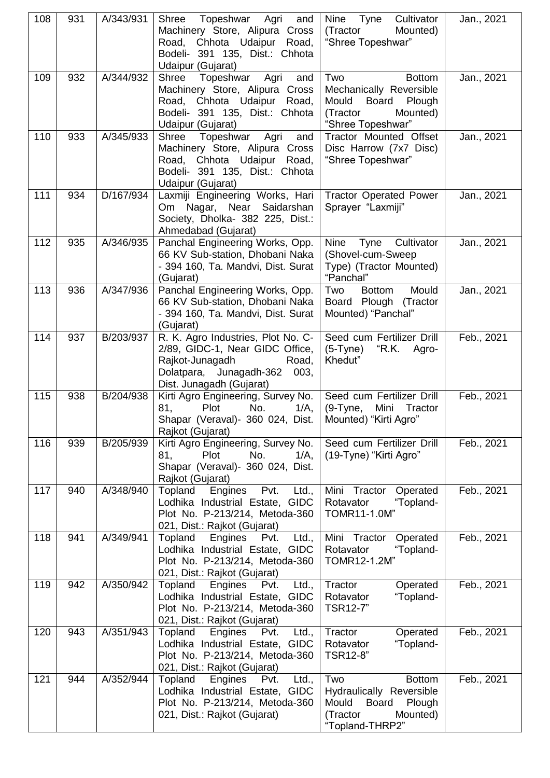| 108 | 931 | A/343/931 | Shree<br>Topeshwar Agri<br>and<br>Machinery Store, Alipura Cross<br>Road, Chhota Udaipur Road,<br>Bodeli- 391 135, Dist.: Chhota<br>Udaipur (Gujarat)         | Nine Tyne<br>Cultivator<br>(Tractor<br>Mounted)<br>"Shree Topeshwar"                                                           | Jan., 2021 |
|-----|-----|-----------|---------------------------------------------------------------------------------------------------------------------------------------------------------------|--------------------------------------------------------------------------------------------------------------------------------|------------|
| 109 | 932 | A/344/932 | Topeshwar Agri<br>Shree<br>and<br>Machinery Store, Alipura Cross<br>Road, Chhota Udaipur Road,<br>Bodeli- 391 135, Dist.: Chhota<br>Udaipur (Gujarat)         | <b>Bottom</b><br>Two<br>Mechanically Reversible<br>Board Plough<br>Mould<br>(Tractor<br>Mounted)<br>"Shree Topeshwar"          | Jan., 2021 |
| 110 | 933 | A/345/933 | Topeshwar<br>Agri<br>Shree<br>and<br>Machinery Store, Alipura Cross<br>Road, Chhota Udaipur Road,<br>Bodeli- 391 135, Dist.: Chhota<br>Udaipur (Gujarat)      | Tractor Mounted Offset<br>Disc Harrow (7x7 Disc)<br>"Shree Topeshwar"                                                          | Jan., 2021 |
| 111 | 934 | D/167/934 | Laxmiji Engineering Works, Hari<br>Om Nagar, Near Saidarshan<br>Society, Dholka- 382 225, Dist.:<br>Ahmedabad (Gujarat)                                       | <b>Tractor Operated Power</b><br>Sprayer "Laxmiji"                                                                             | Jan., 2021 |
| 112 | 935 | A/346/935 | Panchal Engineering Works, Opp.<br>66 KV Sub-station, Dhobani Naka<br>- 394 160, Ta. Mandvi, Dist. Surat<br>(Gujarat)                                         | Nine<br>Tyne Cultivator<br>(Shovel-cum-Sweep)<br>Type) (Tractor Mounted)<br>"Panchal"                                          | Jan., 2021 |
| 113 | 936 | A/347/936 | Panchal Engineering Works, Opp.<br>66 KV Sub-station, Dhobani Naka<br>- 394 160, Ta. Mandvi, Dist. Surat<br>(Gujarat)                                         | Mould<br>Two<br>Bottom<br>Board Plough (Tractor<br>Mounted) "Panchal"                                                          | Jan., 2021 |
| 114 | 937 | B/203/937 | R. K. Agro Industries, Plot No. C-<br>2/89, GIDC-1, Near GIDC Office,<br>Rajkot-Junagadh<br>Road,<br>Dolatpara, Junagadh-362 003,<br>Dist. Junagadh (Gujarat) | Seed cum Fertilizer Drill<br>$(5-Tyne)$<br>"R.K. Agro-<br>Khedut"                                                              | Feb., 2021 |
| 115 | 938 | B/204/938 | Kirti Agro Engineering, Survey No.<br><b>Plot</b><br>No.<br>$1/A$ ,<br>81,<br>Shapar (Veraval)- 360 024, Dist.<br>Rajkot (Gujarat)                            | Seed cum Fertilizer Drill<br>$(9-Tyne,$<br>Mini<br>Tractor<br>Mounted) "Kirti Agro"                                            | Feb., 2021 |
| 116 | 939 | B/205/939 | Kirti Agro Engineering, Survey No.<br>81,<br>Plot<br>No.<br>$1/A$ ,<br>Shapar (Veraval)- 360 024, Dist.<br>Rajkot (Gujarat)                                   | Seed cum Fertilizer Drill<br>(19-Tyne) "Kirti Agro"                                                                            | Feb., 2021 |
| 117 | 940 | A/348/940 | Topland<br>Engines<br>Pvt.<br>Ltd.,<br>Lodhika Industrial Estate, GIDC<br>Plot No. P-213/214, Metoda-360<br>021, Dist.: Rajkot (Gujarat)                      | Mini<br>Tractor<br>Operated<br>Rotavator<br>"Topland-<br>TOMR11-1.0M"                                                          | Feb., 2021 |
| 118 | 941 | A/349/941 | Topland<br>Engines<br>Pvt.<br>Ltd.,<br>Lodhika Industrial Estate, GIDC<br>Plot No. P-213/214, Metoda-360<br>021, Dist.: Rajkot (Gujarat)                      | Mini Tractor<br>Operated<br>Rotavator<br>"Topland-<br>TOMR12-1.2M"                                                             | Feb., 2021 |
| 119 | 942 | A/350/942 | Engines<br>Topland<br>Pvt.<br>Ltd.,<br>Lodhika Industrial Estate, GIDC<br>Plot No. P-213/214, Metoda-360<br>021, Dist.: Rajkot (Gujarat)                      | Tractor<br>Operated<br>"Topland-<br>Rotavator<br><b>TSR12-7"</b>                                                               | Feb., 2021 |
| 120 | 943 | A/351/943 | Topland<br>Engines<br>Pvt.<br>Ltd.,<br>Lodhika Industrial Estate, GIDC<br>Plot No. P-213/214, Metoda-360<br>021, Dist.: Rajkot (Gujarat)                      | Tractor<br>Operated<br>"Topland-<br>Rotavator<br>TSR12-8"                                                                      | Feb., 2021 |
| 121 | 944 | A/352/944 | Topland<br>Engines<br>Pvt.<br>Ltd.,<br>Lodhika Industrial Estate, GIDC<br>Plot No. P-213/214, Metoda-360<br>021, Dist.: Rajkot (Gujarat)                      | Two<br><b>Bottom</b><br>Hydraulically Reversible<br>Mould<br><b>Board</b><br>Plough<br>Mounted)<br>(Tractor<br>"Topland-THRP2" | Feb., 2021 |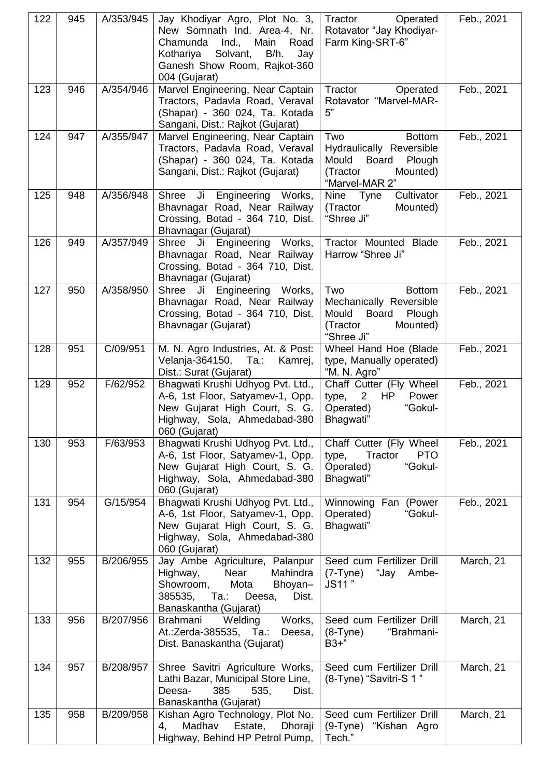| 122 | 945 | A/353/945 | Jay Khodiyar Agro, Plot No. 3,<br>New Somnath Ind. Area-4, Nr.<br>Main<br>Chamunda<br>Ind.,<br>Road<br>Solvant,<br>Kothariya<br>B/h.<br>Jay<br>Ganesh Show Room, Rajkot-360<br>004 (Gujarat) | Tractor<br>Operated<br>Rotavator "Jay Khodiyar-<br>Farm King-SRT-6"                                                           | Feb., 2021 |
|-----|-----|-----------|----------------------------------------------------------------------------------------------------------------------------------------------------------------------------------------------|-------------------------------------------------------------------------------------------------------------------------------|------------|
| 123 | 946 | A/354/946 | Marvel Engineering, Near Captain<br>Tractors, Padavla Road, Veraval<br>(Shapar) - 360 024, Ta. Kotada<br>Sangani, Dist.: Rajkot (Gujarat)                                                    | Tractor<br>Operated<br>Rotavator "Marvel-MAR-<br>5"                                                                           | Feb., 2021 |
| 124 | 947 | A/355/947 | Marvel Engineering, Near Captain<br>Tractors, Padavla Road, Veraval<br>(Shapar) - 360 024, Ta. Kotada<br>Sangani, Dist.: Rajkot (Gujarat)                                                    | Two<br><b>Bottom</b><br>Hydraulically Reversible<br>Mould<br><b>Board</b><br>Plough<br>(Tractor<br>Mounted)<br>"Marvel-MAR 2" | Feb., 2021 |
| 125 | 948 | A/356/948 | Ji Engineering Works,<br>Shree<br>Bhavnagar Road, Near Railway<br>Crossing, Botad - 364 710, Dist.<br>Bhavnagar (Gujarat)                                                                    | Cultivator<br>Nine Tyne<br>(Tractor<br>Mounted)<br>"Shree Ji"                                                                 | Feb., 2021 |
| 126 | 949 | A/357/949 | Shree<br>Ji Engineering Works,<br>Bhavnagar Road, Near Railway<br>Crossing, Botad - 364 710, Dist.<br>Bhavnagar (Gujarat)                                                                    | Tractor Mounted Blade<br>Harrow "Shree Ji"                                                                                    | Feb., 2021 |
| 127 | 950 | A/358/950 | Shree Ji Engineering Works,<br>Bhavnagar Road, Near Railway<br>Crossing, Botad - 364 710, Dist.<br>Bhavnagar (Gujarat)                                                                       | Two<br><b>Bottom</b><br>Mechanically Reversible<br>Board<br>Mould<br>Plough<br>(Tractor<br>Mounted)<br>"Shree Ji"             | Feb., 2021 |
| 128 | 951 | C/09/951  | M. N. Agro Industries, At. & Post:<br>Velanja-364150, Ta.:<br>Kamrej,<br>Dist.: Surat (Gujarat)                                                                                              | Wheel Hand Hoe (Blade<br>type, Manually operated)<br>"M. N. Agro"                                                             | Feb., 2021 |
| 129 | 952 | F/62/952  | Bhagwati Krushi Udhyog Pvt. Ltd.,<br>A-6, 1st Floor, Satyamev-1, Opp.<br>New Gujarat High Court, S. G.<br>Highway, Sola, Ahmedabad-380<br>060 (Gujarat)                                      | Chaff Cutter (Fly Wheel<br>2<br>HP<br>Power<br>type,<br>"Gokul-<br>Operated)<br>Bhagwati"                                     | Feb., 2021 |
| 130 | 953 | F/63/953  | Bhagwati Krushi Udhyog Pvt. Ltd.,<br>A-6, 1st Floor, Satyamev-1, Opp.<br>New Gujarat High Court, S. G.<br>Highway, Sola, Ahmedabad-380<br>060 (Gujarat)                                      | Chaff Cutter (Fly Wheel<br><b>PTO</b><br>type,<br>Tractor<br>"Gokul-<br>Operated)<br>Bhagwati"                                | Feb., 2021 |
| 131 | 954 | G/15/954  | Bhagwati Krushi Udhyog Pvt. Ltd.,<br>A-6, 1st Floor, Satyamev-1, Opp.<br>New Gujarat High Court, S. G.<br>Highway, Sola, Ahmedabad-380<br>060 (Gujarat)                                      | Winnowing Fan (Power<br>Operated)<br>"Gokul-<br>Bhagwati"                                                                     | Feb., 2021 |
| 132 | 955 | B/206/955 | Jay Ambe Agriculture, Palanpur<br>Near<br>Highway,<br>Mahindra<br>Showroom,<br>Mota<br>Bhoyan-<br>Deesa,<br>Dist.<br>385535,<br>Ta.:<br>Banaskantha (Gujarat)                                | Seed cum Fertilizer Drill<br>"Jay Ambe-<br>$(7-Tyne)$<br>JS11"                                                                | March, 21  |
| 133 | 956 | B/207/956 | <b>Brahmani</b><br>Works,<br>Welding<br>At.: Zerda-385535, Ta.:<br>Deesa,<br>Dist. Banaskantha (Gujarat)                                                                                     | Seed cum Fertilizer Drill<br>"Brahmani-<br>$(8-Tyne)$<br>$B3+$ "                                                              | March, 21  |
| 134 | 957 | B/208/957 | Shree Savitri Agriculture Works,<br>Lathi Bazar, Municipal Store Line,<br>Deesa-<br>385<br>535,<br>Dist.<br>Banaskantha (Gujarat)                                                            | Seed cum Fertilizer Drill<br>(8-Tyne) "Savitri-S 1"                                                                           | March, 21  |
| 135 | 958 | B/209/958 | Kishan Agro Technology, Plot No.<br>Madhav<br>Estate,<br>Dhoraji<br>4,<br>Highway, Behind HP Petrol Pump,                                                                                    | Seed cum Fertilizer Drill<br>(9-Tyne) "Kishan Agro<br>Tech."                                                                  | March, 21  |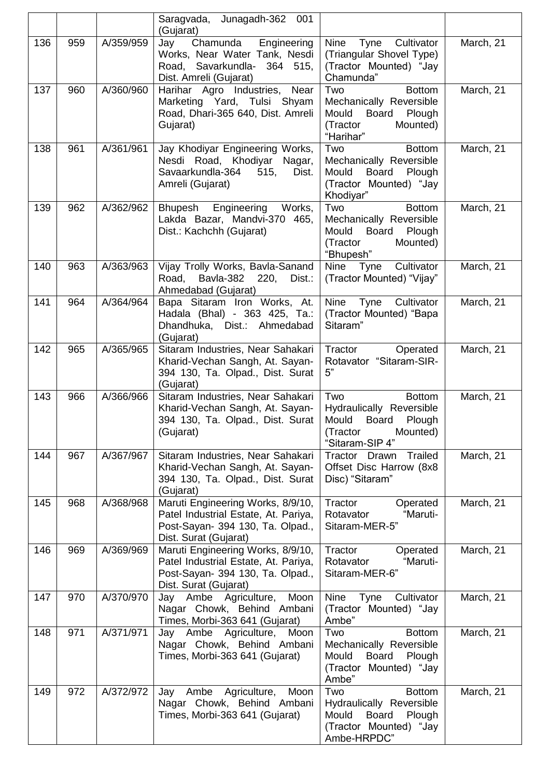|     |     |           | Saragvada, Junagadh-362 001<br>(Gujarat)                                                                                               |                                                                                                                              |           |
|-----|-----|-----------|----------------------------------------------------------------------------------------------------------------------------------------|------------------------------------------------------------------------------------------------------------------------------|-----------|
| 136 | 959 | A/359/959 | Chamunda<br>Engineering<br>Jay<br>Works, Near Water Tank, Nesdi<br>Road, Savarkundla- 364 515,<br>Dist. Amreli (Gujarat)               | Nine<br>Cultivator<br>Tyne<br>(Triangular Shovel Type)<br>(Tractor Mounted) "Jay<br>Chamunda"                                | March, 21 |
| 137 | 960 | A/360/960 | Harihar Agro Industries,<br>Near<br>Marketing Yard, Tulsi Shyam<br>Road, Dhari-365 640, Dist. Amreli<br>Gujarat)                       | Two<br><b>Bottom</b><br>Mechanically Reversible<br>Mould<br>Board<br>Plough<br>(Tractor<br>Mounted)<br>"Harihar"             | March, 21 |
| 138 | 961 | A/361/961 | Jay Khodiyar Engineering Works,<br>Nesdi Road, Khodiyar Nagar,<br>Savaarkundla-364<br>515,<br>Dist.<br>Amreli (Gujarat)                | Two<br><b>Bottom</b><br>Mechanically Reversible<br>Mould<br>Board<br>Plough<br>(Tractor Mounted) "Jay<br>Khodiyar"           | March, 21 |
| 139 | 962 | A/362/962 | Bhupesh Engineering<br>Works,<br>Lakda Bazar, Mandvi-370 465,<br>Dist.: Kachchh (Gujarat)                                              | Two<br><b>Bottom</b><br>Mechanically Reversible<br>Mould Board<br>Plough<br>(Tractor<br>Mounted)<br>"Bhupesh"                | March, 21 |
| 140 | 963 | A/363/963 | Vijay Trolly Works, Bavla-Sanand<br>Road,<br>Bavla-382<br>220,<br>Dist.:<br>Ahmedabad (Gujarat)                                        | Nine Tyne<br>Cultivator<br>(Tractor Mounted) "Vijay"                                                                         | March, 21 |
| 141 | 964 | A/364/964 | Bapa Sitaram Iron Works, At.<br>Hadala (Bhal) - 363 425, Ta.:<br>Dhandhuka, Dist.: Ahmedabad<br>(Gujarat)                              | Nine<br>Cultivator<br>Tyne<br>(Tractor Mounted) "Bapa<br>Sitaram"                                                            | March, 21 |
| 142 | 965 | A/365/965 | Sitaram Industries, Near Sahakari<br>Kharid-Vechan Sangh, At. Sayan-<br>394 130, Ta. Olpad., Dist. Surat<br>(Gujarat)                  | Tractor<br>Operated<br>Rotavator "Sitaram-SIR-<br>5"                                                                         | March, 21 |
| 143 | 966 | A/366/966 | Sitaram Industries, Near Sahakari<br>Kharid-Vechan Sangh, At. Sayan-<br>394 130, Ta. Olpad., Dist. Surat<br>(Gujarat)                  | Two<br><b>Bottom</b><br>Hydraulically Reversible<br>Mould<br>Board<br>Plough<br>(Tractor<br>Mounted)<br>"Sitaram-SIP 4"      | March, 21 |
| 144 | 967 | A/367/967 | Sitaram Industries, Near Sahakari<br>Kharid-Vechan Sangh, At. Sayan-<br>394 130, Ta. Olpad., Dist. Surat<br>(Gujarat)                  | Trailed<br>Tractor Drawn<br>Offset Disc Harrow (8x8<br>Disc) "Sitaram"                                                       | March, 21 |
| 145 | 968 | A/368/968 | Maruti Engineering Works, 8/9/10,<br>Patel Industrial Estate, At. Pariya,<br>Post-Sayan- 394 130, Ta. Olpad.,<br>Dist. Surat (Gujarat) | Tractor<br>Operated<br>"Maruti-<br>Rotavator<br>Sitaram-MER-5"                                                               | March, 21 |
| 146 | 969 | A/369/969 | Maruti Engineering Works, 8/9/10,<br>Patel Industrial Estate, At. Pariya,<br>Post-Sayan- 394 130, Ta. Olpad.,<br>Dist. Surat (Gujarat) | Tractor<br>Operated<br>Rotavator<br>"Maruti-<br>Sitaram-MER-6"                                                               | March, 21 |
| 147 | 970 | A/370/970 | Moon<br>Ambe<br>Agriculture,<br>Jay<br>Nagar Chowk, Behind Ambani<br>Times, Morbi-363 641 (Gujarat)                                    | Nine<br>Cultivator<br>Tyne<br>(Tractor Mounted) "Jay<br>Ambe"                                                                | March, 21 |
| 148 | 971 | A/371/971 | Jay Ambe Agriculture, Moon<br>Nagar Chowk, Behind Ambani<br>Times, Morbi-363 641 (Gujarat)                                             | Two<br><b>Bottom</b><br>Mechanically Reversible<br>Mould<br><b>Board</b><br>Plough<br>(Tractor Mounted) "Jay<br>Ambe"        | March, 21 |
| 149 | 972 | A/372/972 | Ambe<br>Agriculture,<br>Moon<br>Jay<br>Nagar Chowk, Behind Ambani<br>Times, Morbi-363 641 (Gujarat)                                    | Two<br><b>Bottom</b><br>Hydraulically Reversible<br><b>Board</b><br>Mould<br>Plough<br>(Tractor Mounted) "Jay<br>Ambe-HRPDC" | March, 21 |